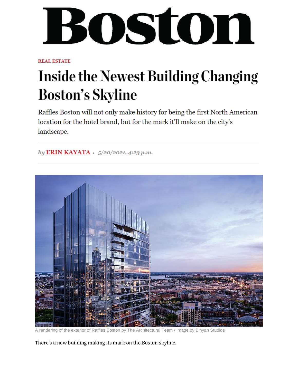## BOStON

**REAL ESTATE** 

## **Inside the Newest Building Changing Boston's Skyline**

Raffles Boston will not only make history for being the first North American location for the hotel brand, but for the mark it'll make on the city's landscape.

by ERIN KAYATA · 5/20/2021, 4:23 p.m.



A rendering of the exterior of Raffles Boston by The Architectural Team / Image by Binyan Studios

There's a new building making its mark on the Boston skyline.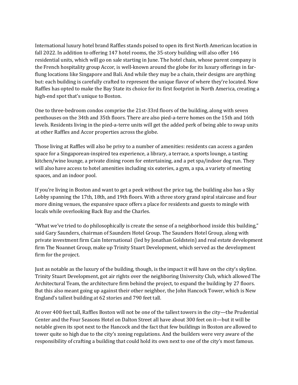International luxury hotel brand Raffles stands poised to open its first North American location in fall 2022. In addition to offering 147 hotel rooms, the 35-story building will also offer 146 residential units, which will go on sale starting in June. The hotel chain, whose parent company is the French hospitality group Accor, is well-known around the globe for its luxury offerings in farflung locations like Singapore and Bali. And while they may be a chain, their designs are anything but: each building is carefully crafted to represent the unique flavor of where they're located. Now Raffles has opted to make the Bay State its choice for its first footprint in North America, creating a high-end spot that's unique to Boston.

One to three-bedroom condos comprise the 21st-33rd floors of the building, along with seven penthouses on the 34th and 35th floors. There are also pied-a-terre homes on the 15th and 16th levels. Residents living in the pied-a-terre units will get the added perk of being able to swap units at other Raffles and Accor properties across the globe.

Those living at Raffles will also be privy to a number of amenities: residents can access a garden space for a Singaporean-inspired tea experience, a library, a terrace, a sports lounge, a tasting kitchen/wine lounge, a private dining room for entertaining, and a pet spa/indoor dog run. They will also have access to hotel amenities including six eateries, a gym, a spa, a variety of meeting spaces, and an indoor pool.

If you're living in Boston and want to get a peek without the price tag, the building also has a Sky Lobby spanning the 17th, 18th, and 19th floors. With a three story grand spiral staircase and four more dining venues, the expansive space offers a place for residents and guests to mingle with locals while overlooking Back Bay and the Charles.

"What we've tried to do philosophically is create the sense of a neighborhood inside this building," said Gary Saunders, chairman of Saunders Hotel Group. The Saunders Hotel Group, along with private investment firm Cain International (led by Jonathan Goldstein) and real estate development firm The Noannet Group, make up Trinity Stuart Development, which served as the development firm for the project.

Just as notable as the luxury of the building, though, is the impact it will have on the city's skyline. Trinity Stuart Development, got air rights over the neighboring University Club, which allowed The Architectural Team, the architecture firm behind the project, to expand the building by 27 floors. But this also meant going up against their other neighbor, the John Hancock Tower, which is New England's tallest building at 62 stories and 790 feet tall.

At over 400 feet tall, Raffles Boston will not be one of the tallest towers in the city—the Prudential Center and the Four Seasons Hotel on Dalton Street all have about 300 feet on it—but it will be notable given its spot next to the Hancock and the fact that few buildings in Boston are allowed to tower quite so high due to the city's zoning regulations. And the builders were very aware of the responsibility of crafting a building that could hold its own next to one of the city's most famous.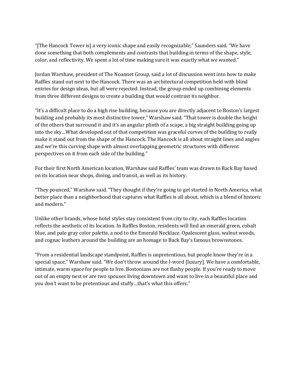"[The Hancock Tower is] a very iconic shape and easily recognizable," Saunders said. "We have done something that both complements and contrasts that building in terms of the shape, style, color, and reflectivity. We spent a lot of time making sure it was exactly what we wanted."

Jordan Warshaw, president of The Noannet Group, said a lot of discussion went into how to make Raffles stand out next to the Hancock. There was an architectural competition held with blind entries for design ideas, but all were rejected. Instead, the group ended up combining elements from three different designs to create a building that would contrast its neighbor.

"It's a difficult place to do a high rise building, because you are directly adjacent to Boston's largest building and probably its most distinctive tower," Warshaw said. "That tower is double the height of the others that surround it and it's an angular plinth of a scape, a big straight building going up into the sky…What developed out of that competition was graceful curves of the building to really make it stand out from the shape of the Hancock. The Hancock is all about straight lines and angles and we're this curving shape with almost overlapping geometric structures with different perspectives on it from each side of the building."

For their first North American location, Warshaw said Raffles' team was drawn to Back Bay based on its location near shops, dining, and transit, as well as its history.

"They pounced," Warshaw said. "They thought if they're going to get started in North America, what better place than a neighborhood that captures what Raffles is all about, which is a blend of historic and modern."

Unlike other brands, whose hotel styles stay consistent from city to city, each Raffles location reflects the aesthetic of its location. In Raffles Boston, residents will find an emerald green, cobalt blue, and pale gray color palette, a nod to the Emerald Necklace. Opalescent glass, walnut woods, and cognac leathers around the building are an homage to Back Bay's famous brownstones.

"From a residential landscape standpoint, Raffles is unpretentious, but people know they're in a special space," Warshaw said. "We don't throw around the l-word [luxury]. We have a comfortable, intimate, warm space for people to live. Bostonians are not flashy people. If you're ready to move out of an empty nest or are two spouses living downtown and want to live in a beautiful place and you don't want to be pretentious and stuffy…that's what this offers."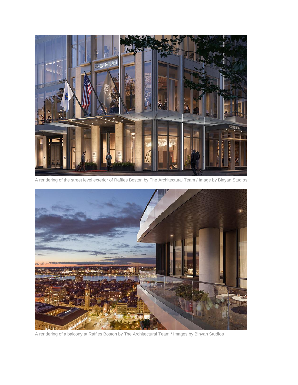

A rendering of the street level exterior of Raffles Boston by The Architectural Team / Image by Binyan Studios



A rendering of a balcony at Raffles Boston by The Architectural Team / Images by Binyan Studios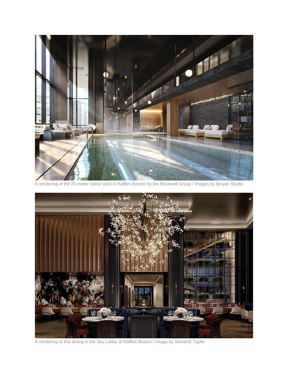

A rendering of the 20-meter indoor pool in Raffles Boston by the Rockwell Group / Images by Binyan Studio



A rendering of fine dining in the Sky Lobby at Raffles Boston / Image by Stonehill Taylor